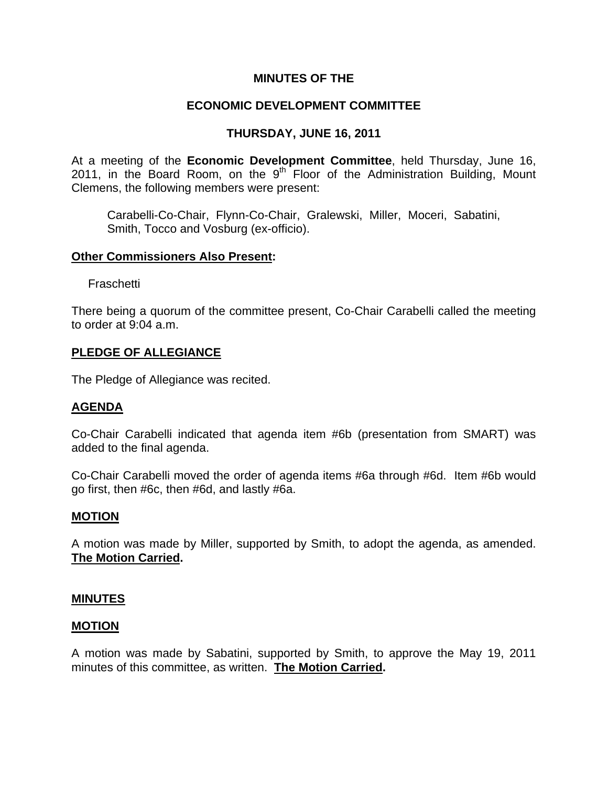# **MINUTES OF THE**

# **ECONOMIC DEVELOPMENT COMMITTEE**

# **THURSDAY, JUNE 16, 2011**

At a meeting of the **Economic Development Committee**, held Thursday, June 16, 2011, in the Board Room, on the  $9<sup>th</sup>$  Floor of the Administration Building, Mount Clemens, the following members were present:

Carabelli-Co-Chair, Flynn-Co-Chair, Gralewski, Miller, Moceri, Sabatini, Smith, Tocco and Vosburg (ex-officio).

### **Other Commissioners Also Present:**

Fraschetti

There being a quorum of the committee present, Co-Chair Carabelli called the meeting to order at 9:04 a.m.

### **PLEDGE OF ALLEGIANCE**

The Pledge of Allegiance was recited.

### **AGENDA**

Co-Chair Carabelli indicated that agenda item #6b (presentation from SMART) was added to the final agenda.

Co-Chair Carabelli moved the order of agenda items #6a through #6d. Item #6b would go first, then #6c, then #6d, and lastly #6a.

### **MOTION**

A motion was made by Miller, supported by Smith, to adopt the agenda, as amended. **The Motion Carried.** 

### **MINUTES**

### **MOTION**

A motion was made by Sabatini, supported by Smith, to approve the May 19, 2011 minutes of this committee, as written. **The Motion Carried.**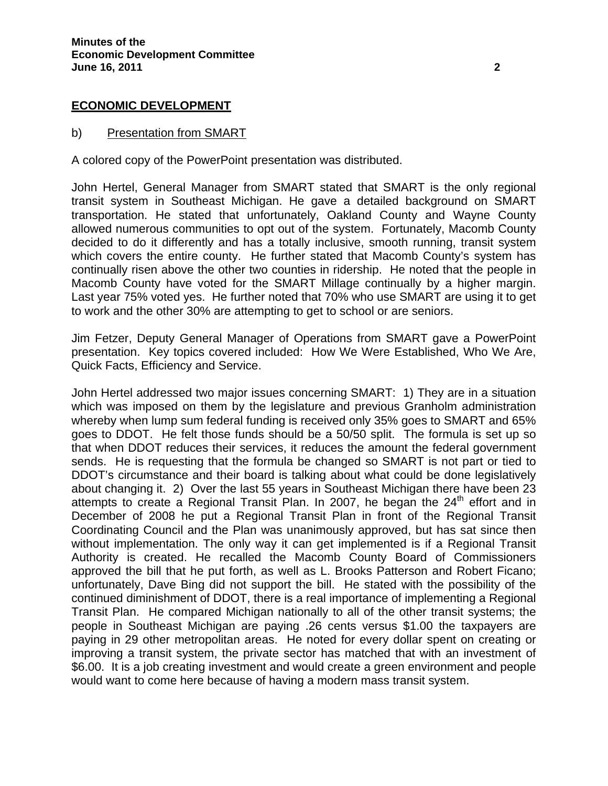### **ECONOMIC DEVELOPMENT**

#### b) Presentation from SMART

A colored copy of the PowerPoint presentation was distributed.

John Hertel, General Manager from SMART stated that SMART is the only regional transit system in Southeast Michigan. He gave a detailed background on SMART transportation. He stated that unfortunately, Oakland County and Wayne County allowed numerous communities to opt out of the system. Fortunately, Macomb County decided to do it differently and has a totally inclusive, smooth running, transit system which covers the entire county. He further stated that Macomb County's system has continually risen above the other two counties in ridership. He noted that the people in Macomb County have voted for the SMART Millage continually by a higher margin. Last year 75% voted yes. He further noted that 70% who use SMART are using it to get to work and the other 30% are attempting to get to school or are seniors.

Jim Fetzer, Deputy General Manager of Operations from SMART gave a PowerPoint presentation. Key topics covered included: How We Were Established, Who We Are, Quick Facts, Efficiency and Service.

John Hertel addressed two major issues concerning SMART: 1) They are in a situation which was imposed on them by the legislature and previous Granholm administration whereby when lump sum federal funding is received only 35% goes to SMART and 65% goes to DDOT. He felt those funds should be a 50/50 split. The formula is set up so that when DDOT reduces their services, it reduces the amount the federal government sends. He is requesting that the formula be changed so SMART is not part or tied to DDOT's circumstance and their board is talking about what could be done legislatively about changing it. 2) Over the last 55 years in Southeast Michigan there have been 23 attempts to create a Regional Transit Plan. In 2007, he began the  $24<sup>th</sup>$  effort and in December of 2008 he put a Regional Transit Plan in front of the Regional Transit Coordinating Council and the Plan was unanimously approved, but has sat since then without implementation. The only way it can get implemented is if a Regional Transit Authority is created. He recalled the Macomb County Board of Commissioners approved the bill that he put forth, as well as L. Brooks Patterson and Robert Ficano; unfortunately, Dave Bing did not support the bill. He stated with the possibility of the continued diminishment of DDOT, there is a real importance of implementing a Regional Transit Plan. He compared Michigan nationally to all of the other transit systems; the people in Southeast Michigan are paying .26 cents versus \$1.00 the taxpayers are paying in 29 other metropolitan areas. He noted for every dollar spent on creating or improving a transit system, the private sector has matched that with an investment of \$6.00. It is a job creating investment and would create a green environment and people would want to come here because of having a modern mass transit system.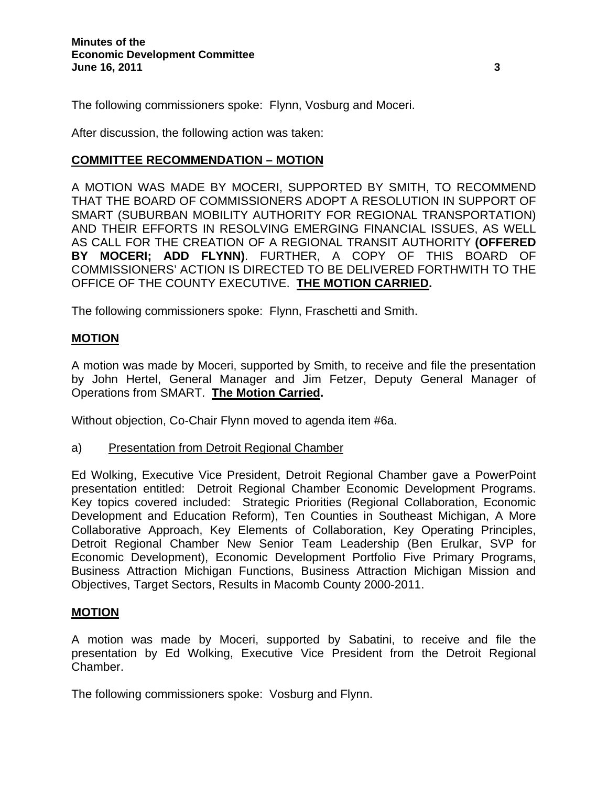The following commissioners spoke: Flynn, Vosburg and Moceri.

After discussion, the following action was taken:

# **COMMITTEE RECOMMENDATION – MOTION**

A MOTION WAS MADE BY MOCERI, SUPPORTED BY SMITH, TO RECOMMEND THAT THE BOARD OF COMMISSIONERS ADOPT A RESOLUTION IN SUPPORT OF SMART (SUBURBAN MOBILITY AUTHORITY FOR REGIONAL TRANSPORTATION) AND THEIR EFFORTS IN RESOLVING EMERGING FINANCIAL ISSUES, AS WELL AS CALL FOR THE CREATION OF A REGIONAL TRANSIT AUTHORITY **(OFFERED BY MOCERI; ADD FLYNN)**. FURTHER, A COPY OF THIS BOARD OF COMMISSIONERS' ACTION IS DIRECTED TO BE DELIVERED FORTHWITH TO THE OFFICE OF THE COUNTY EXECUTIVE. **THE MOTION CARRIED.** 

The following commissioners spoke: Flynn, Fraschetti and Smith.

### **MOTION**

A motion was made by Moceri, supported by Smith, to receive and file the presentation by John Hertel, General Manager and Jim Fetzer, Deputy General Manager of Operations from SMART. **The Motion Carried.**

Without objection, Co-Chair Flynn moved to agenda item #6a.

a) Presentation from Detroit Regional Chamber

Ed Wolking, Executive Vice President, Detroit Regional Chamber gave a PowerPoint presentation entitled: Detroit Regional Chamber Economic Development Programs. Key topics covered included: Strategic Priorities (Regional Collaboration, Economic Development and Education Reform), Ten Counties in Southeast Michigan, A More Collaborative Approach, Key Elements of Collaboration, Key Operating Principles, Detroit Regional Chamber New Senior Team Leadership (Ben Erulkar, SVP for Economic Development), Economic Development Portfolio Five Primary Programs, Business Attraction Michigan Functions, Business Attraction Michigan Mission and Objectives, Target Sectors, Results in Macomb County 2000-2011.

### **MOTION**

A motion was made by Moceri, supported by Sabatini, to receive and file the presentation by Ed Wolking, Executive Vice President from the Detroit Regional Chamber.

The following commissioners spoke: Vosburg and Flynn.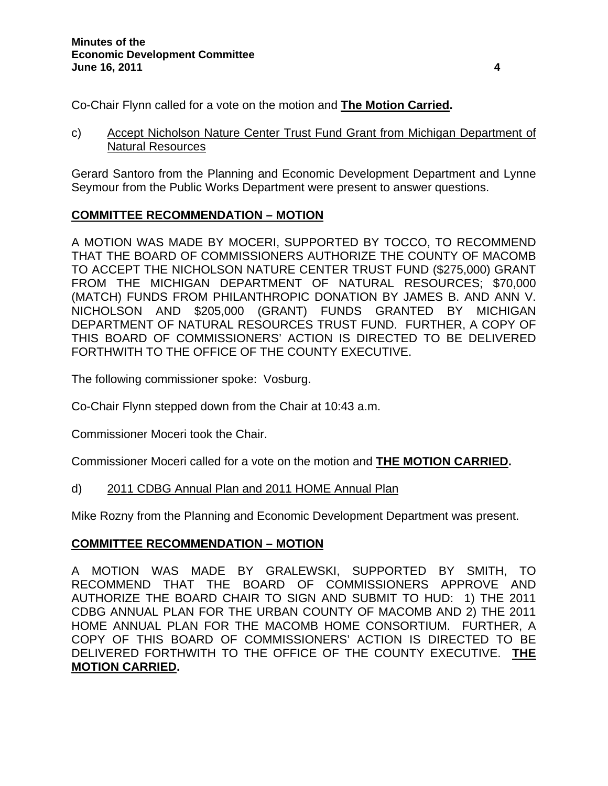Co-Chair Flynn called for a vote on the motion and **The Motion Carried.** 

c) Accept Nicholson Nature Center Trust Fund Grant from Michigan Department of Natural Resources

Gerard Santoro from the Planning and Economic Development Department and Lynne Seymour from the Public Works Department were present to answer questions.

# **COMMITTEE RECOMMENDATION – MOTION**

A MOTION WAS MADE BY MOCERI, SUPPORTED BY TOCCO, TO RECOMMEND THAT THE BOARD OF COMMISSIONERS AUTHORIZE THE COUNTY OF MACOMB TO ACCEPT THE NICHOLSON NATURE CENTER TRUST FUND (\$275,000) GRANT FROM THE MICHIGAN DEPARTMENT OF NATURAL RESOURCES; \$70,000 (MATCH) FUNDS FROM PHILANTHROPIC DONATION BY JAMES B. AND ANN V. NICHOLSON AND \$205,000 (GRANT) FUNDS GRANTED BY MICHIGAN DEPARTMENT OF NATURAL RESOURCES TRUST FUND. FURTHER, A COPY OF THIS BOARD OF COMMISSIONERS' ACTION IS DIRECTED TO BE DELIVERED FORTHWITH TO THE OFFICE OF THE COUNTY EXECUTIVE.

The following commissioner spoke: Vosburg.

Co-Chair Flynn stepped down from the Chair at 10:43 a.m.

Commissioner Moceri took the Chair.

Commissioner Moceri called for a vote on the motion and **THE MOTION CARRIED.** 

### d) 2011 CDBG Annual Plan and 2011 HOME Annual Plan

Mike Rozny from the Planning and Economic Development Department was present.

# **COMMITTEE RECOMMENDATION – MOTION**

A MOTION WAS MADE BY GRALEWSKI, SUPPORTED BY SMITH, TO RECOMMEND THAT THE BOARD OF COMMISSIONERS APPROVE AND AUTHORIZE THE BOARD CHAIR TO SIGN AND SUBMIT TO HUD: 1) THE 2011 CDBG ANNUAL PLAN FOR THE URBAN COUNTY OF MACOMB AND 2) THE 2011 HOME ANNUAL PLAN FOR THE MACOMB HOME CONSORTIUM. FURTHER, A COPY OF THIS BOARD OF COMMISSIONERS' ACTION IS DIRECTED TO BE DELIVERED FORTHWITH TO THE OFFICE OF THE COUNTY EXECUTIVE. **THE MOTION CARRIED.**